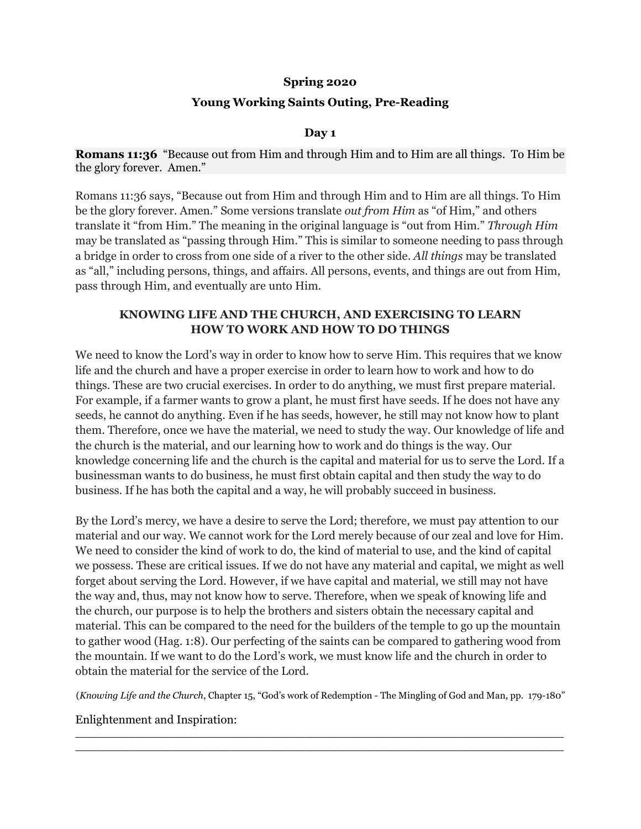# **Spring 2020**

# **Young Working Saints Outing, Pre-Reading**

## **Day 1**

### **Romans 11:36** "Because out from Him and through Him and to Him are all things. To Him be the glory forever. Amen."

Romans 11:36 says, "Because out from Him and through Him and to Him are all things. To Him be the glory forever. Amen." Some versions translate *out from Him* as "of Him," and others translate it "from Him." The meaning in the original language is "out from Him." *Through Him* may be translated as "passing through Him." This is similar to someone needing to pass through a bridge in order to cross from one side of a river to the other side. *All things* may be translated as "all," including persons, things, and affairs. All persons, events, and things are out from Him, pass through Him, and eventually are unto Him.

# **KNOWING LIFE AND THE CHURCH, AND EXERCISING TO LEARN HOW TO WORK AND HOW TO DO THINGS**

We need to know the Lord's way in order to know how to serve Him. This requires that we know life and the church and have a proper exercise in order to learn how to work and how to do things. These are two crucial exercises. In order to do anything, we must first prepare material. For example, if a farmer wants to grow a plant, he must first have seeds. If he does not have any seeds, he cannot do anything. Even if he has seeds, however, he still may not know how to plant them. Therefore, once we have the material, we need to study the way. Our knowledge of life and the church is the material, and our learning how to work and do things is the way. Our knowledge concerning life and the church is the capital and material for us to serve the Lord. If a businessman wants to do business, he must first obtain capital and then study the way to do business. If he has both the capital and a way, he will probably succeed in business.

By the Lord's mercy, we have a desire to serve the Lord; therefore, we must pay attention to our material and our way. We cannot work for the Lord merely because of our zeal and love for Him. We need to consider the kind of work to do, the kind of material to use, and the kind of capital we possess. These are critical issues. If we do not have any material and capital, we might as well forget about serving the Lord. However, if we have capital and material, we still may not have the way and, thus, may not know how to serve. Therefore, when we speak of knowing life and the church, our purpose is to help the brothers and sisters obtain the necessary capital and material. This can be compared to the need for the builders of the temple to go up the mountain to gather wood (Hag. 1:8). Our perfecting of the saints can be compared to gathering wood from the mountain. If we want to do the Lord's work, we must know life and the church in order to obtain the material for the service of the Lord.

(*Knowing Life and the Church*, Chapter 15, "God's work of Redemption - The Mingling of God and Man, pp. 179-180"

 $\_$  $\overline{a_1}$  ,  $\overline{a_2}$  ,  $\overline{a_3}$  ,  $\overline{a_4}$  ,  $\overline{a_5}$  ,  $\overline{a_6}$  ,  $\overline{a_7}$  ,  $\overline{a_8}$  ,  $\overline{a_9}$  ,  $\overline{a_9}$  ,  $\overline{a_9}$  ,  $\overline{a_9}$  ,  $\overline{a_9}$  ,  $\overline{a_9}$  ,  $\overline{a_9}$  ,  $\overline{a_9}$  ,  $\overline{a_9}$  ,

Enlightenment and Inspiration: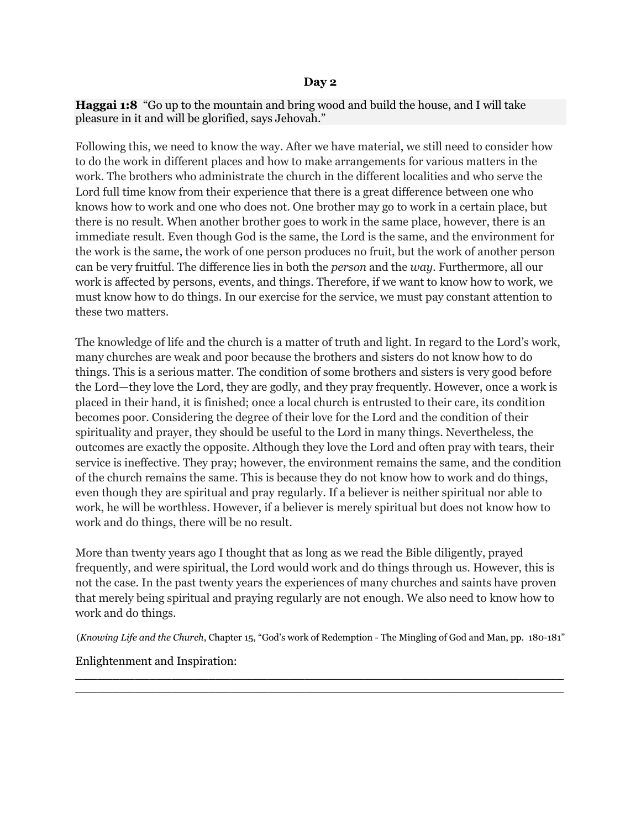#### **Day 2**

**Haggai 1:8** "Go up to the mountain and bring wood and build the house, and I will take pleasure in it and will be glorified, says Jehovah."

Following this, we need to know the way. After we have material, we still need to consider how to do the work in different places and how to make arrangements for various matters in the work. The brothers who administrate the church in the different localities and who serve the Lord full time know from their experience that there is a great difference between one who knows how to work and one who does not. One brother may go to work in a certain place, but there is no result. When another brother goes to work in the same place, however, there is an immediate result. Even though God is the same, the Lord is the same, and the environment for the work is the same, the work of one person produces no fruit, but the work of another person can be very fruitful. The difference lies in both the *person* and the *way*. Furthermore, all our work is affected by persons, events, and things. Therefore, if we want to know how to work, we must know how to do things. In our exercise for the service, we must pay constant attention to these two matters.

The knowledge of life and the church is a matter of truth and light. In regard to the Lord's work, many churches are weak and poor because the brothers and sisters do not know how to do things. This is a serious matter. The condition of some brothers and sisters is very good before the Lord—they love the Lord, they are godly, and they pray frequently. However, once a work is placed in their hand, it is finished; once a local church is entrusted to their care, its condition becomes poor. Considering the degree of their love for the Lord and the condition of their spirituality and prayer, they should be useful to the Lord in many things. Nevertheless, the outcomes are exactly the opposite. Although they love the Lord and often pray with tears, their service is ineffective. They pray; however, the environment remains the same, and the condition of the church remains the same. This is because they do not know how to work and do things, even though they are spiritual and pray regularly. If a believer is neither spiritual nor able to work, he will be worthless. However, if a believer is merely spiritual but does not know how to work and do things, there will be no result.

More than twenty years ago I thought that as long as we read the Bible diligently, prayed frequently, and were spiritual, the Lord would work and do things through us. However, this is not the case. In the past twenty years the experiences of many churches and saints have proven that merely being spiritual and praying regularly are not enough. We also need to know how to work and do things.

(*Knowing Life and the Church*, Chapter 15, "God's work of Redemption - The Mingling of God and Man, pp. 180-181"

 $\_$  $\overline{a_1}$  ,  $\overline{a_2}$  ,  $\overline{a_3}$  ,  $\overline{a_4}$  ,  $\overline{a_5}$  ,  $\overline{a_6}$  ,  $\overline{a_7}$  ,  $\overline{a_8}$  ,  $\overline{a_9}$  ,  $\overline{a_9}$  ,  $\overline{a_9}$  ,  $\overline{a_9}$  ,  $\overline{a_9}$  ,  $\overline{a_9}$  ,  $\overline{a_9}$  ,  $\overline{a_9}$  ,  $\overline{a_9}$  ,

## Enlightenment and Inspiration: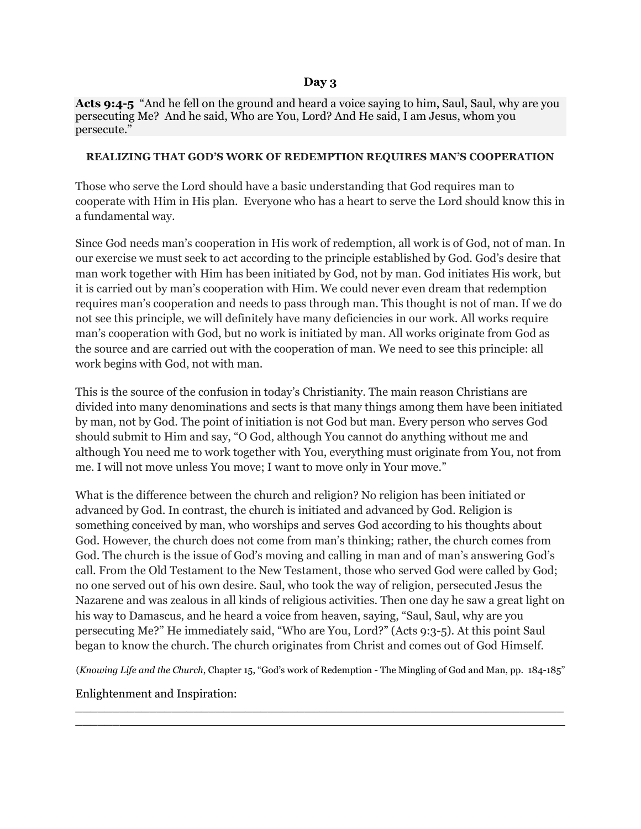### **Day 3**

Acts 9:4-5 "And he fell on the ground and heard a voice saying to him, Saul, Saul, why are you persecuting Me? And he said, Who are You, Lord? And He said, I am Jesus, whom you persecute."

#### **REALIZING THAT GOD'S WORK OF REDEMPTION REQUIRES MAN'S COOPERATION**

Those who serve the Lord should have a basic understanding that God requires man to cooperate with Him in His plan. Everyone who has a heart to serve the Lord should know this in a fundamental way.

Since God needs man's cooperation in His work of redemption, all work is of God, not of man. In our exercise we must seek to act according to the principle established by God. God's desire that man work together with Him has been initiated by God, not by man. God initiates His work, but it is carried out by man's cooperation with Him. We could never even dream that redemption requires man's cooperation and needs to pass through man. This thought is not of man. If we do not see this principle, we will definitely have many deficiencies in our work. All works require man's cooperation with God, but no work is initiated by man. All works originate from God as the source and are carried out with the cooperation of man. We need to see this principle: all work begins with God, not with man.

This is the source of the confusion in today's Christianity. The main reason Christians are divided into many denominations and sects is that many things among them have been initiated by man, not by God. The point of initiation is not God but man. Every person who serves God should submit to Him and say, "O God, although You cannot do anything without me and although You need me to work together with You, everything must originate from You, not from me. I will not move unless You move; I want to move only in Your move."

What is the difference between the church and religion? No religion has been initiated or advanced by God. In contrast, the church is initiated and advanced by God. Religion is something conceived by man, who worships and serves God according to his thoughts about God. However, the church does not come from man's thinking; rather, the church comes from God. The church is the issue of God's moving and calling in man and of man's answering God's call. From the Old Testament to the New Testament, those who served God were called by God; no one served out of his own desire. Saul, who took the way of religion, persecuted Jesus the Nazarene and was zealous in all kinds of religious activities. Then one day he saw a great light on his way to Damascus, and he heard a voice from heaven, saying, "Saul, Saul, why are you persecuting Me?" He immediately said, "Who are You, Lord?" (Acts 9:3-5). At this point Saul began to know the church. The church originates from Christ and comes out of God Himself.

(*Knowing Life and the Church*, Chapter 15, "God's work of Redemption - The Mingling of God and Man, pp. 184-185"

 $\overline{a_1}$  ,  $\overline{a_2}$  ,  $\overline{a_3}$  ,  $\overline{a_4}$  ,  $\overline{a_5}$  ,  $\overline{a_6}$  ,  $\overline{a_7}$  ,  $\overline{a_8}$  ,  $\overline{a_9}$  ,  $\overline{a_9}$  ,  $\overline{a_9}$  ,  $\overline{a_9}$  ,  $\overline{a_9}$  ,  $\overline{a_9}$  ,  $\overline{a_9}$  ,  $\overline{a_9}$  ,  $\overline{a_9}$  ,

Enlightenment and Inspiration:

 $\overline{\phantom{a}}$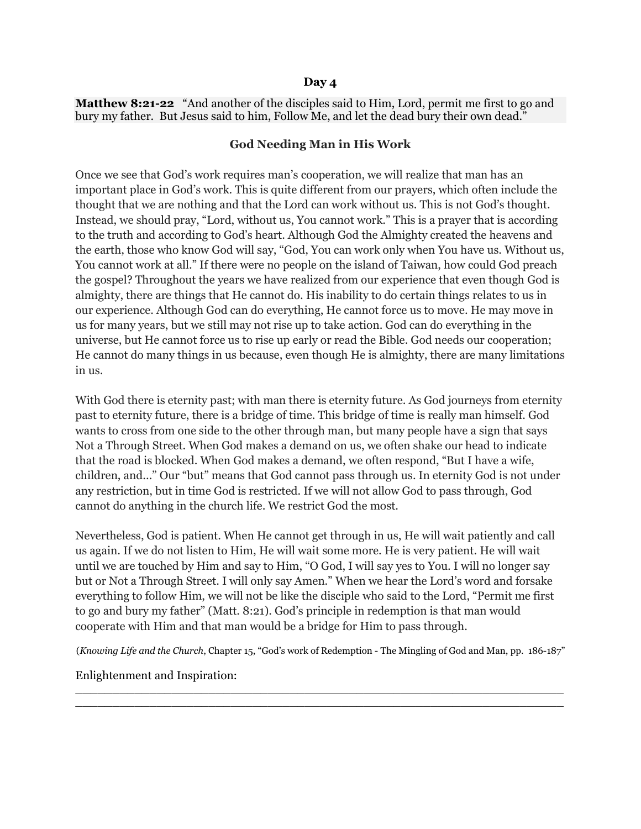#### **Day 4**

**Matthew 8:21-22** "And another of the disciples said to Him, Lord, permit me first to go and bury my father. But Jesus said to him, Follow Me, and let the dead bury their own dead."

#### **God Needing Man in His Work**

Once we see that God's work requires man's cooperation, we will realize that man has an important place in God's work. This is quite different from our prayers, which often include the thought that we are nothing and that the Lord can work without us. This is not God's thought. Instead, we should pray, "Lord, without us, You cannot work." This is a prayer that is according to the truth and according to God's heart. Although God the Almighty created the heavens and the earth, those who know God will say, "God, You can work only when You have us. Without us, You cannot work at all." If there were no people on the island of Taiwan, how could God preach the gospel? Throughout the years we have realized from our experience that even though God is almighty, there are things that He cannot do. His inability to do certain things relates to us in our experience. Although God can do everything, He cannot force us to move. He may move in us for many years, but we still may not rise up to take action. God can do everything in the universe, but He cannot force us to rise up early or read the Bible. God needs our cooperation; He cannot do many things in us because, even though He is almighty, there are many limitations in us.

With God there is eternity past; with man there is eternity future. As God journeys from eternity past to eternity future, there is a bridge of time. This bridge of time is really man himself. God wants to cross from one side to the other through man, but many people have a sign that says Not a Through Street. When God makes a demand on us, we often shake our head to indicate that the road is blocked. When God makes a demand, we often respond, "But I have a wife, children, and..." Our "but" means that God cannot pass through us. In eternity God is not under any restriction, but in time God is restricted. If we will not allow God to pass through, God cannot do anything in the church life. We restrict God the most.

Nevertheless, God is patient. When He cannot get through in us, He will wait patiently and call us again. If we do not listen to Him, He will wait some more. He is very patient. He will wait until we are touched by Him and say to Him, "O God, I will say yes to You. I will no longer say but or Not a Through Street. I will only say Amen." When we hear the Lord's word and forsake everything to follow Him, we will not be like the disciple who said to the Lord, "Permit me first to go and bury my father" (Matt. 8:21). God's principle in redemption is that man would cooperate with Him and that man would be a bridge for Him to pass through.

(*Knowing Life and the Church*, Chapter 15, "God's work of Redemption - The Mingling of God and Man, pp. 186-187"

 $\_$  $\overline{a_1}$  ,  $\overline{a_2}$  ,  $\overline{a_3}$  ,  $\overline{a_4}$  ,  $\overline{a_5}$  ,  $\overline{a_6}$  ,  $\overline{a_7}$  ,  $\overline{a_8}$  ,  $\overline{a_9}$  ,  $\overline{a_9}$  ,  $\overline{a_9}$  ,  $\overline{a_9}$  ,  $\overline{a_9}$  ,  $\overline{a_9}$  ,  $\overline{a_9}$  ,  $\overline{a_9}$  ,  $\overline{a_9}$  ,

#### Enlightenment and Inspiration: